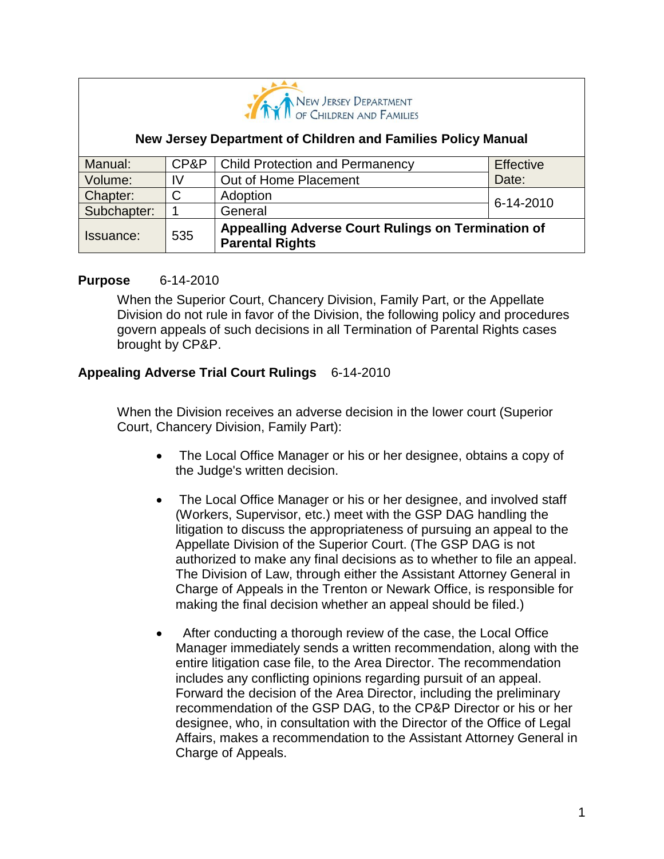

### **New Jersey Department of Children and Families Policy Manual**

| Manual:          | CP&P | <b>Child Protection and Permanency</b>                                       | Effective |
|------------------|------|------------------------------------------------------------------------------|-----------|
| Volume:          | IV   | Out of Home Placement                                                        | Date:     |
| Chapter:         | C    | Adoption                                                                     | 6-14-2010 |
| Subchapter:      |      | General                                                                      |           |
| <b>Issuance:</b> | 535  | Appealling Adverse Court Rulings on Termination of<br><b>Parental Rights</b> |           |

### **Purpose** 6-14-2010

When the Superior Court, Chancery Division, Family Part, or the Appellate Division do not rule in favor of the Division, the following policy and procedures govern appeals of such decisions in all Termination of Parental Rights cases brought by CP&P.

## **Appealing Adverse Trial Court Rulings** 6-14-2010

When the Division receives an adverse decision in the lower court (Superior Court, Chancery Division, Family Part):

- The Local Office Manager or his or her designee, obtains a copy of the Judge's written decision.
- The Local Office Manager or his or her designee, and involved staff (Workers, Supervisor, etc.) meet with the GSP DAG handling the litigation to discuss the appropriateness of pursuing an appeal to the Appellate Division of the Superior Court. (The GSP DAG is not authorized to make any final decisions as to whether to file an appeal. The Division of Law, through either the Assistant Attorney General in Charge of Appeals in the Trenton or Newark Office, is responsible for making the final decision whether an appeal should be filed.)
- After conducting a thorough review of the case, the Local Office Manager immediately sends a written recommendation, along with the entire litigation case file, to the Area Director. The recommendation includes any conflicting opinions regarding pursuit of an appeal. Forward the decision of the Area Director, including the preliminary recommendation of the GSP DAG, to the CP&P Director or his or her designee, who, in consultation with the Director of the Office of Legal Affairs, makes a recommendation to the Assistant Attorney General in Charge of Appeals.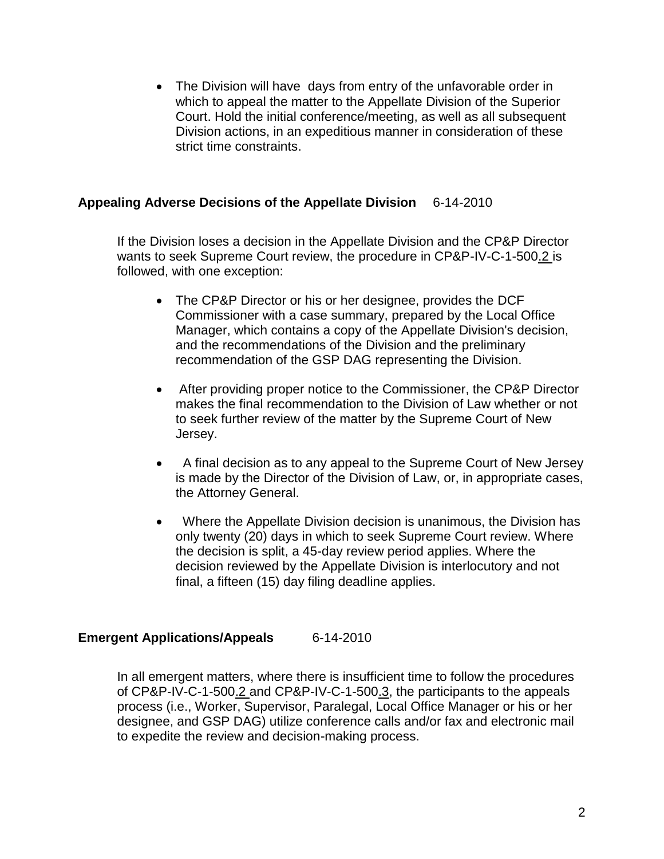• The Division will have days from entry of the unfavorable order in which to appeal the matter to the Appellate Division of the Superior Court. Hold the initial conference/meeting, as well as all subsequent Division actions, in an expeditious manner in consideration of these strict time constraints.

## **Appealing Adverse Decisions of the Appellate Division** 6-14-2010

If the Division loses a decision in the Appellate Division and the CP&P Director wants to seek Supreme Court review, the procedure in CP&P-IV-C-1-500.2 is followed, with one exception:

- The CP&P Director or his or her designee, provides the DCF Commissioner with a case summary, prepared by the Local Office Manager, which contains a copy of the Appellate Division's decision, and the recommendations of the Division and the preliminary recommendation of the GSP DAG representing the Division.
- After providing proper notice to the Commissioner, the CP&P Director makes the final recommendation to the Division of Law whether or not to seek further review of the matter by the Supreme Court of New Jersey.
- A final decision as to any appeal to the Supreme Court of New Jersey is made by the Director of the Division of Law, or, in appropriate cases, the Attorney General.
- Where the Appellate Division decision is unanimous, the Division has only twenty (20) days in which to seek Supreme Court review. Where the decision is split, a 45-day review period applies. Where the decision reviewed by the Appellate Division is interlocutory and not final, a fifteen (15) day filing deadline applies.

# **Emergent Applications/Appeals** 6-14-2010

In all emergent matters, where there is insufficient time to follow the procedures of CP&P-IV-C-1-500.2 and CP&P-IV-C-1-500.3, the participants to the appeals process (i.e., Worker, Supervisor, Paralegal, Local Office Manager or his or her designee, and GSP DAG) utilize conference calls and/or fax and electronic mail to expedite the review and decision-making process.